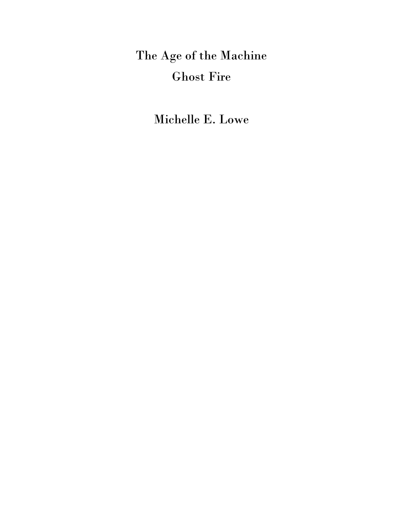The Age of the Machine Ghost Fire

Michelle E. Lowe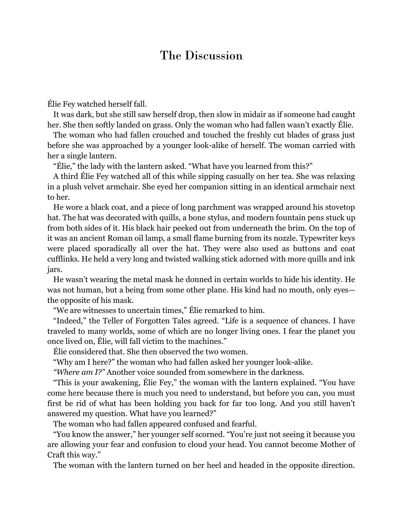## The Discussion

Élie Fey watched herself fall.

It was dark, but she still saw herself drop, then slow in midair as if someone had caught her. She then softly landed on grass. Only the woman who had fallen wasn't exactly Élie.

The woman who had fallen crouched and touched the freshly cut blades of grass just before she was approached by a younger look-alike of herself. The woman carried with her a single lantern.

"Élie," the lady with the lantern asked. "What have you learned from this?"

A third Élie Fey watched all of this while sipping casually on her tea. She was relaxing in a plush velvet armchair. She eyed her companion sitting in an identical armchair next to her.

He wore a black coat, and a piece of long parchment was wrapped around his stovetop hat. The hat was decorated with quills, a bone stylus, and modern fountain pens stuck up from both sides of it. His black hair peeked out from underneath the brim. On the top of it was an ancient Roman oil lamp, a small flame burning from its nozzle. Typewriter keys were placed sporadically all over the hat. They were also used as buttons and coat cufflinks. He held a very long and twisted walking stick adorned with more quills and ink jars.

He wasn't wearing the metal mask he donned in certain worlds to hide his identity. He was not human, but a being from some other plane. His kind had no mouth, only eyes the opposite of his mask.

"We are witnesses to uncertain times," Élie remarked to him.

"Indeed," the Teller of Forgotten Tales agreed. "Life is a sequence of chances. I have traveled to many worlds, some of which are no longer living ones. I fear the planet you once lived on, Élie, will fall victim to the machines."

Élie considered that. She then observed the two women.

"Why am I here?" the woman who had fallen asked her younger look-alike.

*"Where am I?"* Another voice sounded from somewhere in the darkness.

"This is your awakening, Élie Fey," the woman with the lantern explained. "You have come here because there is much you need to understand, but before you can, you must first be rid of what has been holding you back for far too long. And you still haven't answered my question. What have you learned?"

The woman who had fallen appeared confused and fearful.

"You know the answer," her younger self scorned. "You're just not seeing it because you are allowing your fear and confusion to cloud your head. You cannot become Mother of Craft this way."

The woman with the lantern turned on her heel and headed in the opposite direction.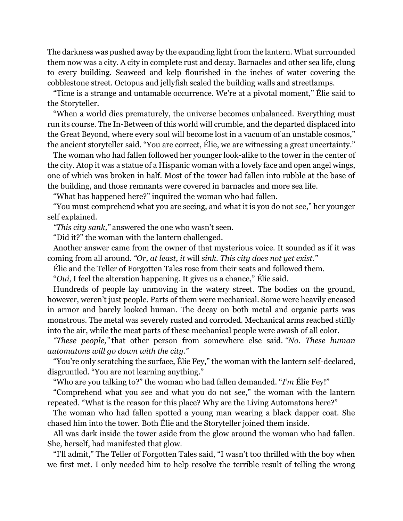The darkness was pushed away by the expanding light from the lantern. What surrounded them now was a city. A city in complete rust and decay. Barnacles and other sea life, clung to every building. Seaweed and kelp flourished in the inches of water covering the cobblestone street. Octopus and jellyfish scaled the building walls and streetlamps.

"Time is a strange and untamable occurrence. We're at a pivotal moment," Élie said to the Storyteller.

"When a world dies prematurely, the universe becomes unbalanced. Everything must run its course. The In-Between of this world will crumble, and the departed displaced into the Great Beyond, where every soul will become lost in a vacuum of an unstable cosmos," the ancient storyteller said. "You are correct, Élie, we are witnessing a great uncertainty."

The woman who had fallen followed her younger look-alike to the tower in the center of the city. Atop it was a statue of a Hispanic woman with a lovely face and open angel wings, one of which was broken in half. Most of the tower had fallen into rubble at the base of the building, and those remnants were covered in barnacles and more sea life.

"What has happened here?" inquired the woman who had fallen.

"You must comprehend what you are seeing, and what it is you do not see," her younger self explained.

*"This city sank,"* answered the one who wasn't seen.

"Did it?" the woman with the lantern challenged.

Another answer came from the owner of that mysterious voice. It sounded as if it was coming from all around. *"Or, at least, it* will *sink. This city does not yet exist."*

Élie and the Teller of Forgotten Tales rose from their seats and followed them.

"*Oui*, I feel the alteration happening. It gives us a chance," Élie said.

Hundreds of people lay unmoving in the watery street. The bodies on the ground, however, weren't just people. Parts of them were mechanical. Some were heavily encased in armor and barely looked human. The decay on both metal and organic parts was monstrous. The metal was severely rusted and corroded. Mechanical arms reached stiffly into the air, while the meat parts of these mechanical people were awash of all color.

*"These people,"* that other person from somewhere else said. *"No. These human automatons will go down with the city."*

"You're only scratching the surface, Élie Fey," the woman with the lantern self-declared, disgruntled. "You are not learning anything."

"Who are you talking to?" the woman who had fallen demanded. "*I'm* Élie Fey!"

"Comprehend what you see and what you do not see," the woman with the lantern repeated. "What is the reason for this place? Why are the Living Automatons here?"

The woman who had fallen spotted a young man wearing a black dapper coat. She chased him into the tower. Both Élie and the Storyteller joined them inside.

All was dark inside the tower aside from the glow around the woman who had fallen. She, herself, had manifested that glow.

"I'll admit," The Teller of Forgotten Tales said, "I wasn't too thrilled with the boy when we first met. I only needed him to help resolve the terrible result of telling the wrong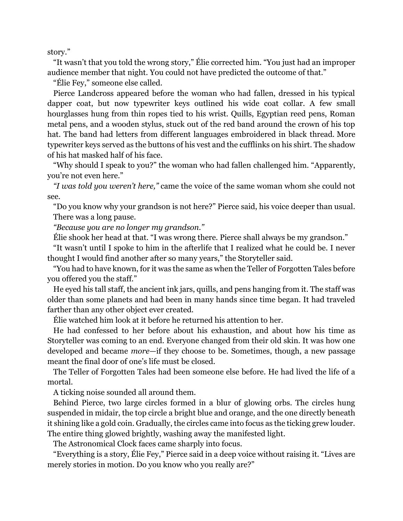story."

"It wasn't that you told the wrong story," Élie corrected him. "You just had an improper audience member that night. You could not have predicted the outcome of that."

"Élie Fey," someone else called.

Pierce Landcross appeared before the woman who had fallen, dressed in his typical dapper coat, but now typewriter keys outlined his wide coat collar. A few small hourglasses hung from thin ropes tied to his wrist. Quills, Egyptian reed pens, Roman metal pens, and a wooden stylus, stuck out of the red band around the crown of his top hat. The band had letters from different languages embroidered in black thread. More typewriter keys served as the buttons of his vest and the cufflinks on his shirt. The shadow of his hat masked half of his face.

"Why should I speak to you?" the woman who had fallen challenged him. "Apparently, you're not even here."

*"I was told you weren't here,"* came the voice of the same woman whom she could not see.

"Do you know why your grandson is not here?" Pierce said, his voice deeper than usual. There was a long pause.

*"Because you are no longer my grandson."*

Élie shook her head at that. "I was wrong there. Pierce shall always be my grandson."

"It wasn't until I spoke to him in the afterlife that I realized what he could be. I never thought I would find another after so many years," the Storyteller said.

"You had to have known, for it was the same as when the Teller of Forgotten Tales before you offered you the staff."

He eyed his tall staff, the ancient ink jars, quills, and pens hanging from it. The staff was older than some planets and had been in many hands since time began. It had traveled farther than any other object ever created.

Élie watched him look at it before he returned his attention to her.

He had confessed to her before about his exhaustion, and about how his time as Storyteller was coming to an end. Everyone changed from their old skin. It was how one developed and became *more*—if they choose to be. Sometimes, though, a new passage meant the final door of one's life must be closed.

The Teller of Forgotten Tales had been someone else before. He had lived the life of a mortal.

A ticking noise sounded all around them.

Behind Pierce, two large circles formed in a blur of glowing orbs. The circles hung suspended in midair, the top circle a bright blue and orange, and the one directly beneath it shining like a gold coin. Gradually, the circles came into focus as the ticking grew louder. The entire thing glowed brightly, washing away the manifested light.

The Astronomical Clock faces came sharply into focus.

"Everything is a story, Élie Fey," Pierce said in a deep voice without raising it. "Lives are merely stories in motion. Do you know who you really are?"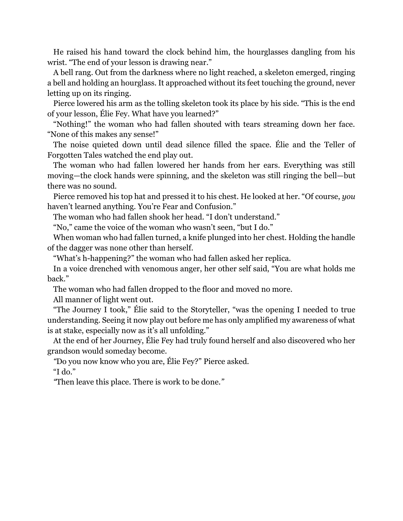He raised his hand toward the clock behind him, the hourglasses dangling from his wrist. "The end of your lesson is drawing near."

A bell rang. Out from the darkness where no light reached, a skeleton emerged, ringing a bell and holding an hourglass. It approached without its feet touching the ground, never letting up on its ringing.

Pierce lowered his arm as the tolling skeleton took its place by his side. "This is the end of your lesson, Élie Fey. What have you learned?"

"Nothing!" the woman who had fallen shouted with tears streaming down her face. "None of this makes any sense!"

The noise quieted down until dead silence filled the space. Élie and the Teller of Forgotten Tales watched the end play out.

The woman who had fallen lowered her hands from her ears. Everything was still moving—the clock hands were spinning, and the skeleton was still ringing the bell—but there was no sound.

Pierce removed his top hat and pressed it to his chest. He looked at her. "Of course, *you* haven't learned anything. You're Fear and Confusion."

The woman who had fallen shook her head. "I don't understand."

"No," came the voice of the woman who wasn't seen, "but I do."

When woman who had fallen turned, a knife plunged into her chest. Holding the handle of the dagger was none other than herself.

"What's h-happening?" the woman who had fallen asked her replica.

In a voice drenched with venomous anger, her other self said, "You are what holds me back."

The woman who had fallen dropped to the floor and moved no more.

All manner of light went out.

"The Journey I took," Élie said to the Storyteller, "was the opening I needed to true understanding. Seeing it now play out before me has only amplified my awareness of what is at stake, especially now as it's all unfolding."

At the end of her Journey, Élie Fey had truly found herself and also discovered who her grandson would someday become.

*"*Do you now know who you are, Élie Fey?" Pierce asked.

"I do."

*"*Then leave this place. There is work to be done*."*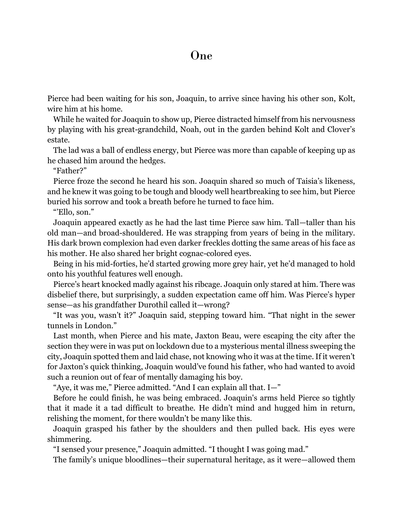Pierce had been waiting for his son, Joaquin, to arrive since having his other son, Kolt, wire him at his home.

While he waited for Joaquin to show up, Pierce distracted himself from his nervousness by playing with his great-grandchild, Noah, out in the garden behind Kolt and Clover's estate.

The lad was a ball of endless energy, but Pierce was more than capable of keeping up as he chased him around the hedges.

"Father?"

Pierce froze the second he heard his son. Joaquin shared so much of Taisia's likeness, and he knew it was going to be tough and bloody well heartbreaking to see him, but Pierce buried his sorrow and took a breath before he turned to face him.

"'Ello, son."

Joaquin appeared exactly as he had the last time Pierce saw him. Tall—taller than his old man—and broad-shouldered. He was strapping from years of being in the military. His dark brown complexion had even darker freckles dotting the same areas of his face as his mother. He also shared her bright cognac-colored eyes.

Being in his mid-forties, he'd started growing more grey hair, yet he'd managed to hold onto his youthful features well enough.

Pierce's heart knocked madly against his ribcage. Joaquin only stared at him. There was disbelief there, but surprisingly, a sudden expectation came off him. Was Pierce's hyper sense—as his grandfather Durothil called it—wrong?

"It was you, wasn't it?" Joaquin said, stepping toward him. "That night in the sewer tunnels in London."

Last month, when Pierce and his mate, Jaxton Beau, were escaping the city after the section they were in was put on lockdown due to a mysterious mental illness sweeping the city, Joaquin spotted them and laid chase, not knowing who it was at the time. If it weren't for Jaxton's quick thinking, Joaquin would've found his father, who had wanted to avoid such a reunion out of fear of mentally damaging his boy.

"Aye, it was me," Pierce admitted. "And I can explain all that. I—"

Before he could finish, he was being embraced. Joaquin's arms held Pierce so tightly that it made it a tad difficult to breathe. He didn't mind and hugged him in return, relishing the moment, for there wouldn't be many like this.

Joaquin grasped his father by the shoulders and then pulled back. His eyes were shimmering.

"I sensed your presence," Joaquin admitted. "I thought I was going mad."

The family's unique bloodlines—their supernatural heritage, as it were—allowed them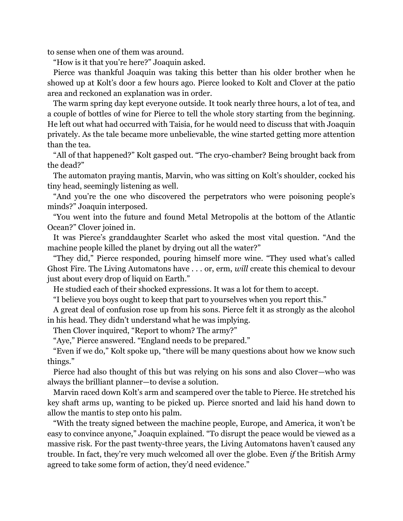to sense when one of them was around.

"How is it that you're here?" Joaquin asked.

Pierce was thankful Joaquin was taking this better than his older brother when he showed up at Kolt's door a few hours ago. Pierce looked to Kolt and Clover at the patio area and reckoned an explanation was in order.

The warm spring day kept everyone outside. It took nearly three hours, a lot of tea, and a couple of bottles of wine for Pierce to tell the whole story starting from the beginning. He left out what had occurred with Taisia, for he would need to discuss that with Joaquin privately. As the tale became more unbelievable, the wine started getting more attention than the tea.

"All of that happened?" Kolt gasped out. "The cryo-chamber? Being brought back from the dead?"

The automaton praying mantis, Marvin, who was sitting on Kolt's shoulder, cocked his tiny head, seemingly listening as well.

"And you're the one who discovered the perpetrators who were poisoning people's minds?" Joaquin interposed.

"You went into the future and found Metal Metropolis at the bottom of the Atlantic Ocean?" Clover joined in.

It was Pierce's granddaughter Scarlet who asked the most vital question. "And the machine people killed the planet by drying out all the water?"

"They did," Pierce responded, pouring himself more wine. "They used what's called Ghost Fire. The Living Automatons have . . . or, erm, *will* create this chemical to devour just about every drop of liquid on Earth."

He studied each of their shocked expressions. It was a lot for them to accept.

"I believe you boys ought to keep that part to yourselves when you report this."

A great deal of confusion rose up from his sons. Pierce felt it as strongly as the alcohol in his head. They didn't understand what he was implying.

Then Clover inquired, "Report to whom? The army?"

"Aye," Pierce answered. "England needs to be prepared."

"Even if we do," Kolt spoke up, "there will be many questions about how we know such things."

Pierce had also thought of this but was relying on his sons and also Clover—who was always the brilliant planner—to devise a solution.

Marvin raced down Kolt's arm and scampered over the table to Pierce. He stretched his key shaft arms up, wanting to be picked up. Pierce snorted and laid his hand down to allow the mantis to step onto his palm.

"With the treaty signed between the machine people, Europe, and America, it won't be easy to convince anyone," Joaquin explained. "To disrupt the peace would be viewed as a massive risk. For the past twenty-three years, the Living Automatons haven't caused any trouble. In fact, they're very much welcomed all over the globe. Even *if* the British Army agreed to take some form of action, they'd need evidence."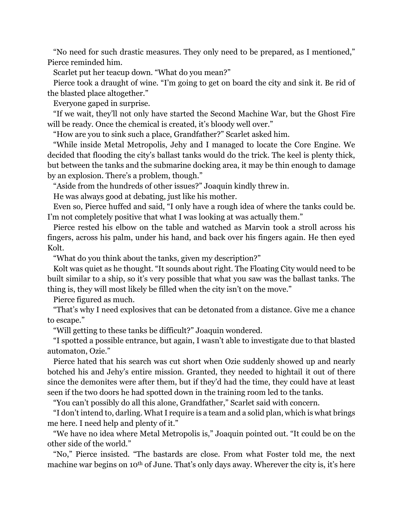"No need for such drastic measures. They only need to be prepared, as I mentioned," Pierce reminded him.

Scarlet put her teacup down. "What do you mean?"

Pierce took a draught of wine. "I'm going to get on board the city and sink it. Be rid of the blasted place altogether."

Everyone gaped in surprise.

"If we wait, they'll not only have started the Second Machine War, but the Ghost Fire will be ready. Once the chemical is created, it's bloody well over."

"How are you to sink such a place, Grandfather?" Scarlet asked him.

"While inside Metal Metropolis, Jehy and I managed to locate the Core Engine. We decided that flooding the city's ballast tanks would do the trick. The keel is plenty thick, but between the tanks and the submarine docking area, it may be thin enough to damage by an explosion. There's a problem, though."

"Aside from the hundreds of other issues?" Joaquin kindly threw in.

He was always good at debating, just like his mother.

Even so, Pierce huffed and said, "I only have a rough idea of where the tanks could be. I'm not completely positive that what I was looking at was actually them."

Pierce rested his elbow on the table and watched as Marvin took a stroll across his fingers, across his palm, under his hand, and back over his fingers again. He then eyed Kolt.

"What do you think about the tanks, given my description?"

Kolt was quiet as he thought. "It sounds about right. The Floating City would need to be built similar to a ship, so it's very possible that what you saw was the ballast tanks. The thing is, they will most likely be filled when the city isn't on the move."

Pierce figured as much.

"That's why I need explosives that can be detonated from a distance. Give me a chance to escape."

"Will getting to these tanks be difficult?" Joaquin wondered.

"I spotted a possible entrance, but again, I wasn't able to investigate due to that blasted automaton, Ozie."

Pierce hated that his search was cut short when Ozie suddenly showed up and nearly botched his and Jehy's entire mission. Granted, they needed to hightail it out of there since the demonites were after them, but if they'd had the time, they could have at least seen if the two doors he had spotted down in the training room led to the tanks.

"You can't possibly do all this alone, Grandfather," Scarlet said with concern.

"I don't intend to, darling. What I require is a team and a solid plan, which is what brings me here. I need help and plenty of it."

"We have no idea where Metal Metropolis is," Joaquin pointed out. "It could be on the other side of the world."

"No," Pierce insisted. "The bastards are close. From what Foster told me, the next machine war begins on 10<sup>th</sup> of June. That's only days away. Wherever the city is, it's here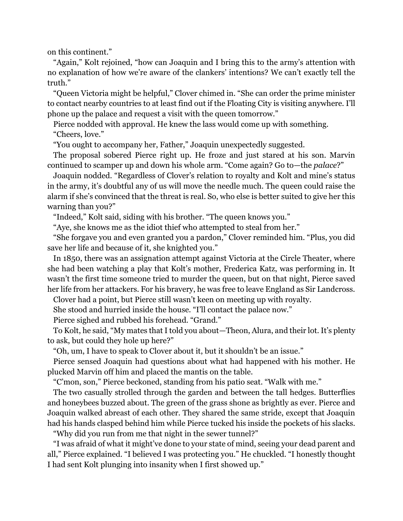on this continent."

"Again," Kolt rejoined, "how can Joaquin and I bring this to the army's attention with no explanation of how we're aware of the clankers' intentions? We can't exactly tell the truth."

"Queen Victoria might be helpful," Clover chimed in. "She can order the prime minister to contact nearby countries to at least find out if the Floating City is visiting anywhere. I'll phone up the palace and request a visit with the queen tomorrow."

Pierce nodded with approval. He knew the lass would come up with something. "Cheers, love."

"You ought to accompany her, Father," Joaquin unexpectedly suggested.

The proposal sobered Pierce right up. He froze and just stared at his son. Marvin continued to scamper up and down his whole arm. "Come again? Go to—the *palace*?"

Joaquin nodded. "Regardless of Clover's relation to royalty and Kolt and mine's status in the army, it's doubtful any of us will move the needle much. The queen could raise the alarm if she's convinced that the threat is real. So, who else is better suited to give her this warning than you?"

"Indeed," Kolt said, siding with his brother. "The queen knows you."

"Aye, she knows me as the idiot thief who attempted to steal from her."

"She forgave you and even granted you a pardon," Clover reminded him. "Plus, you did save her life and because of it, she knighted you."

In 1850, there was an assignation attempt against Victoria at the Circle Theater, where she had been watching a play that Kolt's mother, Frederica Katz, was performing in. It wasn't the first time someone tried to murder the queen, but on that night, Pierce saved her life from her attackers. For his bravery, he was free to leave England as Sir Landcross.

Clover had a point, but Pierce still wasn't keen on meeting up with royalty.

She stood and hurried inside the house. "I'll contact the palace now."

Pierce sighed and rubbed his forehead. "Grand."

To Kolt, he said, "My mates that I told you about—Theon, Alura, and their lot. It's plenty to ask, but could they hole up here?"

"Oh, um, I have to speak to Clover about it, but it shouldn't be an issue."

Pierce sensed Joaquin had questions about what had happened with his mother. He plucked Marvin off him and placed the mantis on the table.

"C'mon, son," Pierce beckoned, standing from his patio seat. "Walk with me."

The two casually strolled through the garden and between the tall hedges. Butterflies and honeybees buzzed about. The green of the grass shone as brightly as ever. Pierce and Joaquin walked abreast of each other. They shared the same stride, except that Joaquin had his hands clasped behind him while Pierce tucked his inside the pockets of his slacks.

"Why did you run from me that night in the sewer tunnel?"

"I was afraid of what it might've done to your state of mind, seeing your dead parent and all," Pierce explained. "I believed I was protecting you." He chuckled. "I honestly thought I had sent Kolt plunging into insanity when I first showed up."